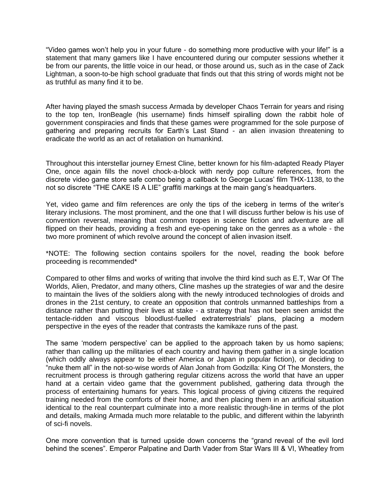"Video games won't help you in your future - do something more productive with your life!" is a statement that many gamers like I have encountered during our computer sessions whether it be from our parents, the little voice in our head, or those around us, such as in the case of Zack Lightman, a soon-to-be high school graduate that finds out that this string of words might not be as truthful as many find it to be.

After having played the smash success Armada by developer Chaos Terrain for years and rising to the top ten, IronBeagle (his username) finds himself spiralling down the rabbit hole of government conspiracies and finds that these games were programmed for the sole purpose of gathering and preparing recruits for Earth's Last Stand - an alien invasion threatening to eradicate the world as an act of retaliation on humankind.

Throughout this interstellar journey Ernest Cline, better known for his film-adapted Ready Player One, once again fills the novel chock-a-block with nerdy pop culture references, from the discrete video game store safe combo being a callback to George Lucas' film THX-1138, to the not so discrete "THE CAKE IS A LIE" graffiti markings at the main gang's headquarters.

Yet, video game and film references are only the tips of the iceberg in terms of the writer's literary inclusions. The most prominent, and the one that I will discuss further below is his use of convention reversal, meaning that common tropes in science fiction and adventure are all flipped on their heads, providing a fresh and eye-opening take on the genres as a whole - the two more prominent of which revolve around the concept of alien invasion itself.

\*NOTE: The following section contains spoilers for the novel, reading the book before proceeding is recommended\*

Compared to other films and works of writing that involve the third kind such as E.T, War Of The Worlds, Alien, Predator, and many others, Cline mashes up the strategies of war and the desire to maintain the lives of the soldiers along with the newly introduced technologies of droids and drones in the 21st century, to create an opposition that controls unmanned battleships from a distance rather than putting their lives at stake - a strategy that has not been seen amidst the tentacle-ridden and viscous bloodlust-fuelled extraterrestrials' plans, placing a modern perspective in the eyes of the reader that contrasts the kamikaze runs of the past.

The same 'modern perspective' can be applied to the approach taken by us homo sapiens; rather than calling up the militaries of each country and having them gather in a single location (which oddly always appear to be either America or Japan in popular fiction), or deciding to "nuke them all" in the not-so-wise words of Alan Jonah from Godzilla: King Of The Monsters, the recruitment process is through gathering regular citizens across the world that have an upper hand at a certain video game that the government published, gathering data through the process of entertaining humans for years. This logical process of giving citizens the required training needed from the comforts of their home, and then placing them in an artificial situation identical to the real counterpart culminate into a more realistic through-line in terms of the plot and details, making Armada much more relatable to the public, and different within the labyrinth of sci-fi novels.

One more convention that is turned upside down concerns the "grand reveal of the evil lord behind the scenes". Emperor Palpatine and Darth Vader from Star Wars III & VI, Wheatley from